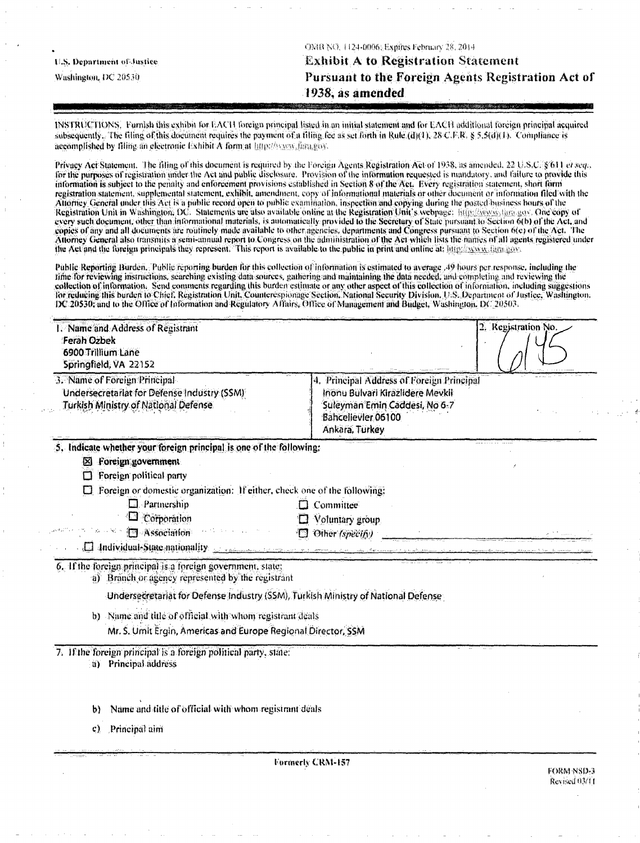|                            | ONIB NO. 1124-0006; Expires February 28, 2014.     |
|----------------------------|----------------------------------------------------|
| U.S. Department of Justice | <b>Exhibit A to Registration Statement</b>         |
| Washington, DC 20530       | Pursuant to the Foreign Agents Registration Act of |
|                            | 1938, as amended                                   |

INSTRUCTIONS. Furnish this exhibit for EACH foreign principal listed in an initial statement and for EACH additional foreign principal acquired subsequently. The filing of this document requires the payment of a filing fee as set forth in Rule (d)(1), 28-C.F.R. § 5.5(d)(1). Compliance is accomplished by filling an electronic Exhibit A form at http://www.fara.gov.

Privacy Act Statement. The filing of this document is required by the Foreign Agents Registration Act of 1938, as amended, 22 U.S.C. § 611 et seq., for the purposes of registration under the Act and public disclosure. Provision of the information requested is mandatory, and failure to provide this information is subject to the penalty and enforcement provisions established in Section 8 of the Act. Every registration statement, short form registration statement, supplemental statement, exhibit, amendment, copy of informational materials or other document or information filed with the Altorney General under this Act is a public record open to public examination, inspection and copying during the posted business hours of the<br>Registration Unit in Washington, DC. Statements are also available online at the copies of any and all documents are routinely made available to other agencies, departments and Congress pursuant to Section 6(c) of the Act. The Attorney General also transmits a semi-annual report to Congress on the administration of the Act which lists the names of all agents registered under the Act and the foreign principals they represent. This report is available to the public in print and online at littp://www.ilgra.gov.

Public Reporting Burden. Public reporting burden for this collection of information is estimated to average .49 hours per response, including the time for reviewing instructions, searching existing data sources, gathering and maintaining the data needed, and completing and reviewing the collection of information. Send comments regarding this burden estimate or any o for reducing this burden to Chief, Registration Unit, Counterespionage Section, National Security Division, U.S. Department of Justice, Washington, DC 20530; and to the Office of Information and Regulatory Affairs, Office of Management and Budget, Washington, DC 20503.

| 1. Name and Address of Registrant<br><b>Ferah Ozbek</b><br>6900 Trillium Lane<br>Springfield, VA 22152                     |                                                                                                                                                        | 2. Registration No. |
|----------------------------------------------------------------------------------------------------------------------------|--------------------------------------------------------------------------------------------------------------------------------------------------------|---------------------|
| 3. Name of Foreign Principal<br>Undersecretariat for Defense Industry (SSM)<br><b>Turkish Ministry of National Defense</b> | 4. Principal Address of Foreign Principal<br>Inonu Bulvari Kirazlidere Mevkil<br>Suleyman Emin Caddesi, No 6-7<br>Bahcelievler 06100<br>Ankara, Turkey |                     |
| 5. Indicate whether your foreign principal is one of the following:                                                        |                                                                                                                                                        |                     |
| <b>El Foreign government</b>                                                                                               |                                                                                                                                                        |                     |
| Foreign political party<br>$\Box$                                                                                          |                                                                                                                                                        |                     |
| $\square$ Foreign or domestic organization: If either, check one of the following:                                         |                                                                                                                                                        |                     |
| $\Box$ Partnership                                                                                                         | $\Box$ Committee                                                                                                                                       |                     |
| Corporation                                                                                                                | $\Box$ Voluntary group                                                                                                                                 |                     |
| Sassociation Communication                                                                                                 | <b>ID</b> Other (specify)                                                                                                                              |                     |
| [1] Individual State nationality and research contract the contract of the state of the state of the state of              |                                                                                                                                                        |                     |
| 6. If the foreign principal is a foreign government, state;<br>a) Branch or agency represented by the registrant           |                                                                                                                                                        |                     |
| Undersecretariat for Defense Industry (SSM), Turkish Ministry of National Defense                                          |                                                                                                                                                        |                     |
| b) Name and title of official with whom registrant deals                                                                   |                                                                                                                                                        |                     |
| Mr. S. Umit Ergin, Americas and Europe Regional Director, SSM                                                              |                                                                                                                                                        |                     |
| 7. If the foreign principal is a foreign political party, state:<br>a) Principal address                                   |                                                                                                                                                        |                     |
| Name and title of official with whom registrant deals<br>b)                                                                |                                                                                                                                                        |                     |
| Principal aim<br>c)                                                                                                        |                                                                                                                                                        |                     |
|                                                                                                                            |                                                                                                                                                        |                     |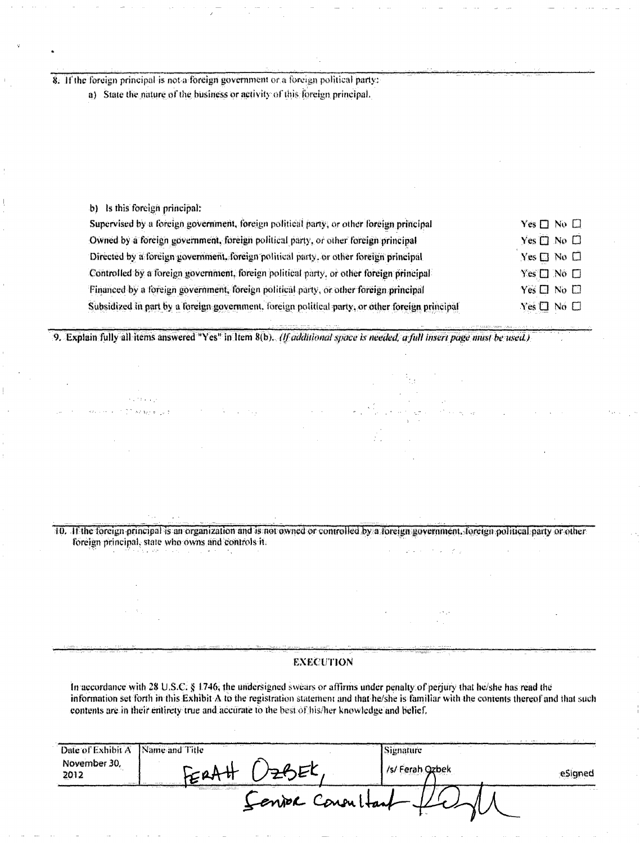8. If the foreign principal is not a foreign government or a foreign political party:

a) State the nature of the business or activity of this foreign principal.

b) Is this foreign principal:

| Supervised by a foreign government, foreign political party, or other foreign principal         | $Yes \Box No \Box$   |  |
|-------------------------------------------------------------------------------------------------|----------------------|--|
| Owned by a foreign government, foreign political party, or other foreign principal              | Yes $\Box$ No $\Box$ |  |
| Directed by a foreign government, foreign political party, or other foreign principal           | $Yes \Box No \Box$   |  |
| Controlled by a foreign government, foreign political party, or other foreign principal         | $Yes \Box No \Box$   |  |
| Financed by a foreign government, foreign political party, or other foreign principal           | $Yes \Box No \Box$   |  |
| Subsidized in part by a foreign government, foreign political party, or other foreign principal | Yes □ No □           |  |

9. Explain fully all items answered "Yes" in Item 8(b). (If additional space is needed, a full insert page must be used.)

10. If the foreign principal is an organization and is not owned or controlled by a foreign government, foreign political party or other foreign principal, state who owns and controls it.

**EXECUTION** 

In accordance with 28 U.S.C. § 1746, the undersigned swears or affirms under penalty of perjury that he/she has read the information set forth in this Exhibit A to the registration statement and that he/she is familiar with the contents thereof and that such contents are in their entirety true and accurate to the best of his/her knowledge and belief.

| Date of Exhibit A                         | Name and Title<br>1.111               | $\cdots$<br>Signature | a a that |
|-------------------------------------------|---------------------------------------|-----------------------|----------|
| November 30,<br>2012<br><b>CONTRACTOR</b> |                                       | /s/ Ferah Ozbek       | eSigned  |
|                                           | "Yman-Limi ro.a.<br>Senior Consultant |                       | $\cdots$ |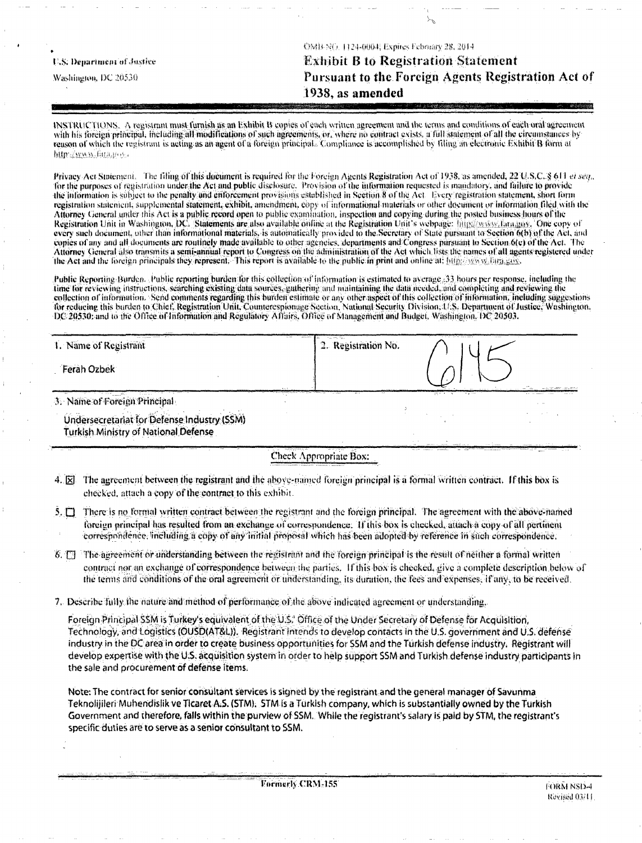|                             | OMB NO. 1124-0004; Expires February 28, 2014.                                                                                                                                                                                  |
|-----------------------------|--------------------------------------------------------------------------------------------------------------------------------------------------------------------------------------------------------------------------------|
| U.S. Department of Justice- | <b>Exhibit B to Registration Statement</b>                                                                                                                                                                                     |
| Washington, DC 20530 -      | Pursuant to the Foreign Agents Registration Act of                                                                                                                                                                             |
|                             | 1938, as amended                                                                                                                                                                                                               |
|                             | The second contract of the company of the second contract of the second contract of the second company of the second contract of the second contract of the second contract of the second contract of the second contract of t |

INSTRUCTIONS. A registrant must furnish as an Exhibit B copies of each written agreement and the terms and conditions of each oral agreement with his foreign principal, including all modifications of such agreements, or, where no contract exists, a full statement of all the circumstances by reason of which the registrant is acting as an agent of a foreign principal. Compliance is accomplished by filing an electronic Exhibit B form at http://www.fara.aos.c

Privacy Act Statement. The filing of this document is required for the Foreign Agents Registration Act of 1938, as amended, 22 U.S.C. § 611 et seq., for the purposes of registration under the Act and public disclosure. Provision of the information requested is mandatory, and failure to provide the information is subject to the penalty and enforcement provisions established in Section 8 of the Act. Every registration statement, short form registration statement, supplemental statement, exhibit, amendment, copy of informational materials or other document or information filed with the Attorney General under this Act is a public record open to public examination, inspection and copying during the posted business hours of the Registration Unit in Washington, DC. Statements are also available online at the Registration Unit's webpage: http://www.hara.gov. One copy of every such document, other than informational materials, is automatically provided to the Secretary of State pursuant to Section 6(b) of the Act, and copies of any and all documents are routinely made available to other agencies, departments and Congress parsuant to Section 6(c) of the Act. The Attorney General also transmits a semi-annual report to Congress on the administration of the Act which lists the names of all agents registered under the Act and the foreign principals they represent. This report is available to the public in print and online at: http://www.fura.gov.

Public Reporting Burden. Public reporting burden for this collection of Information is estimated to average 33 hours per response, including the time for reviewing instructions, searching existing data sources, gathering and maintaining the data needed, and completing and reviewing the collection of information. Send comments regarding this burden estimate or any other aspect of this collection of information, including suggestions for reducing this burden to Chief, Registration Unit, Counterespionage Section, National Security Division, U.S. Department of Justice, Washington, DC 20530; and to the Office of Information and Regulatory Affairs, Office of Management and Budget, Washington, DC 20503.

| 1. Name of Registrant                                | 11.777 | has the fac-<br><br>2. Registration No. |                                                        |  |
|------------------------------------------------------|--------|-----------------------------------------|--------------------------------------------------------|--|
| Ferah Ozbek                                          |        |                                         |                                                        |  |
| " <sup>m</sup><br>.<br>3. Name of Foreign Principal. |        |                                         | Acquisition Control of Superior<br><b>Black Street</b> |  |
| Undersecretariat for Defense Industry (SSM)          |        |                                         |                                                        |  |

Turkish Ministry of National Defense

Check Appropriate Box:

- 4. [8] The agreement between the registrant and the above-named foreign principal is a formal written contract. If this box is checked, attach a copy of the contract to this exhibit.
- 5. There is no formal written contract between the registrant and the foreign principal. The agreement with the above-named foreign principal has resulted from an exchange of correspondence. If this box is checked, attach a copy of all pertinent correspondence, including a copy of any initial proposal which has been adopted by reference in such correspondence.
- 8. [7] The agreement or understanding between the registrant and the foreign principal is the result of neither a formal written contract nor an exchange of correspondence between the parties. If this box is checked, give a complete description below of the terms and conditions of the oral agreement or understanding, its duration, the fees and expenses. If any, to be received,
- 7. Describe fully the nature and method of performance of the above indicated agreement or understanding.

Foreign Principal SSM is Turkey's equivalent of the U.S. Office of the Under Secretary of Defense for Acquisition, Technology, and Logistics (OUSD(AT&L)). Registrant intends to develop contacts in the U.S. government and U.S. defense industry in the DC area in order to create business opportunities for SSM and the Turkish defense industry. Registrant will develop expertise with the U.S. acquisition system in order to help support SSM and Turkish defense industry participants in the sale and procurement of defense items.

Note: The contract for senior consultant services is signed by the registrant and the general manager of Savunma Teknolijileri Muhendislik ve Ticaret A.S. (STM). STM is a Türkish company, which is substantially owned by the Turkish Government and therefore, falls within the purview of SSM. While the registrant's salary is paid by STM, the registrant's specific duties are to serve as a senior consultant to SSM.

Formerly CRM-155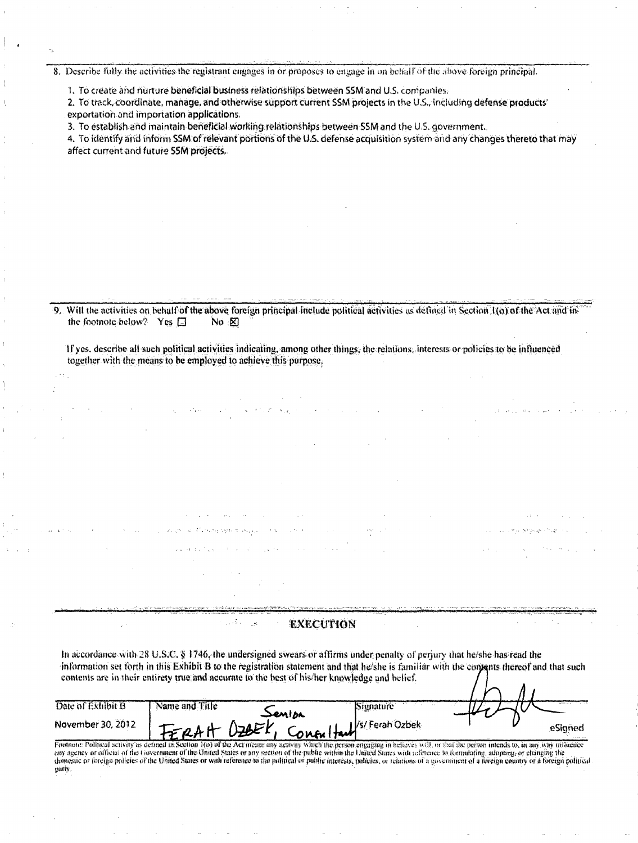8. Describe fully the activities the registrant engages in or proposes to engage in on behalf of the above foreign principal.

1. To create and nurture beneficial business relationships between SSM and U.S. companies.

2. To track, coordinate, manage, and otherwise support current SSM projects in the U.S., including defense products' exportation and importation applications.

3. To establish and maintain beneficial working relationships between SSM and the U.S. government.

4. To identify and inform SSM of relevant portions of the U.S. defense acquisition system and any changes thereto that may affect current and future SSM projects.

9. Will the activities on behalf of the above foreign principal include political activities as defined in Section 1(o) of the Act and in the footnote below? Yes  $\square$ No  $\boxtimes$ 

If yes, describe all such political activities indicating, among other things, the relations, interests or policies to be influenced together with the means to be employed to achieve this purpose.

In accordance with 28 U.S.C. § 1746, the undersigned swears or affirms under penalty of perjury that he/she has read the information set forth in this Exhibit B to the registration statement and that he/she is familiar with the contents thereof and that such contents are in their entirety true and accurate to the best of his/her knowledge and belief.  $\Lambda$  ,

**EXECUTION** 

 $\sim 1.2$ 

| Date of Exhibit B | Name and Title |                                       | Signature |  |         |
|-------------------|----------------|---------------------------------------|-----------|--|---------|
|                   |                | senisa                                |           |  |         |
|                   |                |                                       |           |  |         |
| November 30, 2012 |                |                                       |           |  | esigned |
|                   |                |                                       |           |  |         |
|                   |                | TERAH OZBEK, Conorltan /s/Ferah Ozbek |           |  |         |

Footnote: Political sciivity as defined in Section 1(0) of the Act means any activity which the person engaging in believes will, or that the person intends to, in any way influence any agency or official of the Covernment of the United States or any section of the public within the United States with seleccice to formulating, adopting, or changing the domestic or foreign policies of the United States or with reference to the political or public interests, policies, or relations of a government of a foreign country or a foreign political party.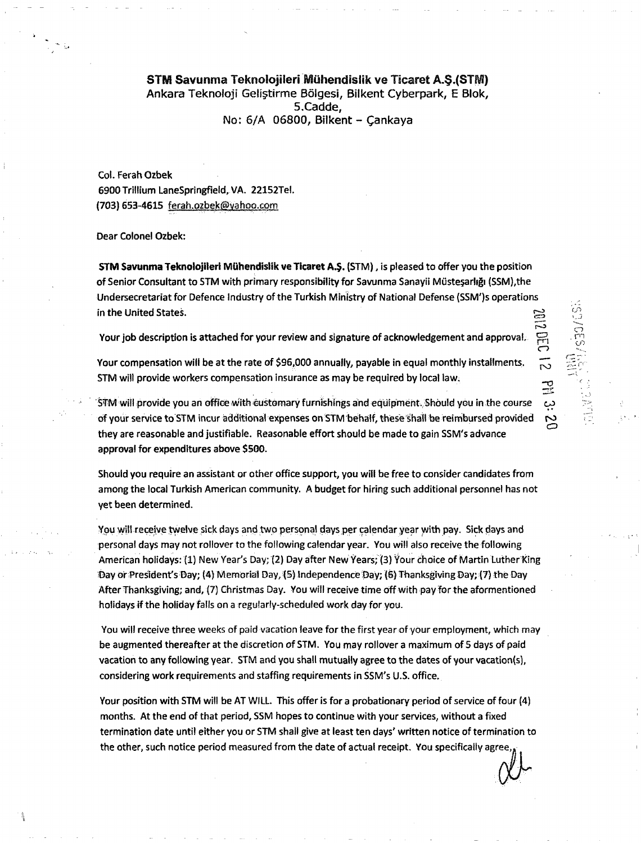## STM Savunma Teknolojileri Mühendislik ve Ticaret A.S.(STM) Ankara Teknoloji Geliştirme Bölgesi, Bilkent Cyberpark, E Blok, S.Cadde, No: 6/A 06800, Bilkent - Cankaya

Col. Ferah Ozbek 6900 Trillium LaneSpringfield, VA. 22152Tel. (703) 653-4615 [ferah.ozbek@yahoo.com](mailto:ferah.ozbek@yahoo.com) 

Dear Colonel Ozbek:

STM Savunma Teknolojileri Miihendisiik ve Ticaret A.§. (STM), is pleased to offer you the position of Senior Consultant to STM with primary responsibility for Savunma Sanayii Mustesarligi {SSM),the Undersecretariat for Defence Industry of the Turkish Ministry of National Defense (SSM')s operations in the United States.  $\mathbb{S}^3$ 

Your job description is attached for your review and signature of acknowledgement and approval.

**PEC** 

ro -o en

Your compensation will be at the rate of \$96,000 annually, payable in equal monthly installments. STM will provide workers compensation insurance as may be required by local law.

STM will provide you an office with customary furnishings and equipment. Should you in the course OJ of your service to STM incur additional expenses on STM behalf, these shall be reimbursed provided they are reasonable and justifiable. Reasonable effort should be made to gain SSM's advance approval for expenditures above \$500.

Should you require an assistant or other office support, you will be free to consider candidates from among the local Turkish American community. A budget for hiring such additional personnel has not yet been determined.

You will receive twelve sick days and two personal days per calendar year with pay. Sick days and personal days may not rollover to the following calendar year. You will also receive the following American holidays: (1) New Year's Day; (2) Day after New Years; (3) Your choice of Martin Luther King Day of President's Day; (4) Memorial Day, (S) Independence 'Day; (6) Thanksgiving Day; (7) the Day After Thanksgiving; and, (7) Christmas Day. You will receive time Off with pay for the aformentioned holidays if the holiday falls on a regularly-scheduled work day for you.

You will receive three weeks of paid vacation leave for the first year of your employment, which may be augmented thereafter at the discretion of STM. You may rollover a maximum of 5 days of paid vacation to any following year. STM and you shall mutually agree to the dates of your vacation(s), considering work requirements and staffing requirements in SSM's U.S. office.

Your position with STM will be AT WILL. This offer is for a probationary period of service of four (4) months. At the end of that period, SSM hopes to continue with your services, without a fixed termination date until either you or STM shall give at least ten days' written notice of termination to the other, such notice period measured from the date of actual receipt. You specifically agree,.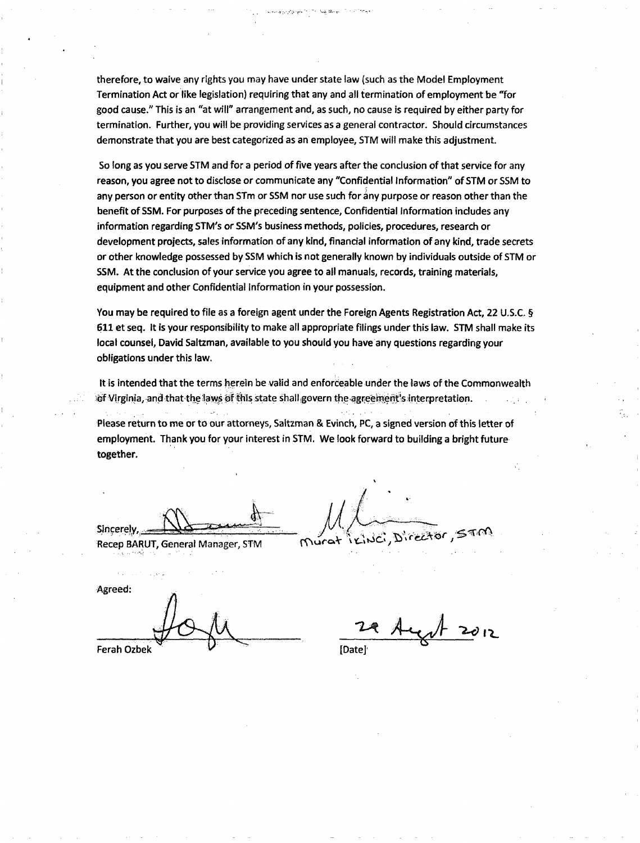therefore, to waive any rights you may have under state law (such as the Model Employment Termination Act or like legislation) requiring that any and all termination of employment be "for good cause." This is an "at will" arrangement and, as such, no cause is required by either party for termination. Further, you will be providing services as a general contractor. Should circumstances demonstrate that you are best categorized as an employee, STM will make this adjustment.

So long as you serve STM and for a period of five years after the conclusion of that service for any reason, you agree not to disclose or communicate any "Confidential Information" of STM or SSM to any person or entity other than STm or SSM nor use such for any purpose or reason other than the benefit of SSM. For purposes of the preceding sentence. Confidential Information includes any information regarding STM's or SSM's business methods, policies, procedures, research or development projects, sales information of any kind, financial information of any kind, trade secrets or other knowledge possessed by SSM which is not generally known by individuals outside of STM or SSM. At the conclusion of your service you agree to all manuals, records, training materials, equipment and other Confidential Information in your possession.

You may be required to file as a foreign agent under the Foreign Agents Registration Act, 22 U.S.C. § 611 et seq. It is your responsibility to make all appropriate filings under this law. STM shall make its local counsel, David Saltzman, available to you should you have any questions regarding your obligations under this law.

It is intended that the terms herein be valid and enforceable under the laws of the Commonwealth of Virginia, and that the laws of this state shall govern the agreeinent's interpretation.

Please return to me or to our attorneys, Saitzman & Evinch, PC, a signed version of this letter of employment. Thank you for your interest in STM. We look forward to building a bright future together.

Sincerely,^

Recep BARUT, General Manager, STM Murat

KING, DIRECTOR,

Agreed:

 $-\gamma$  +  $\gamma$  +  $\gamma$ Ferah Ozbek  $V = V$  [Date]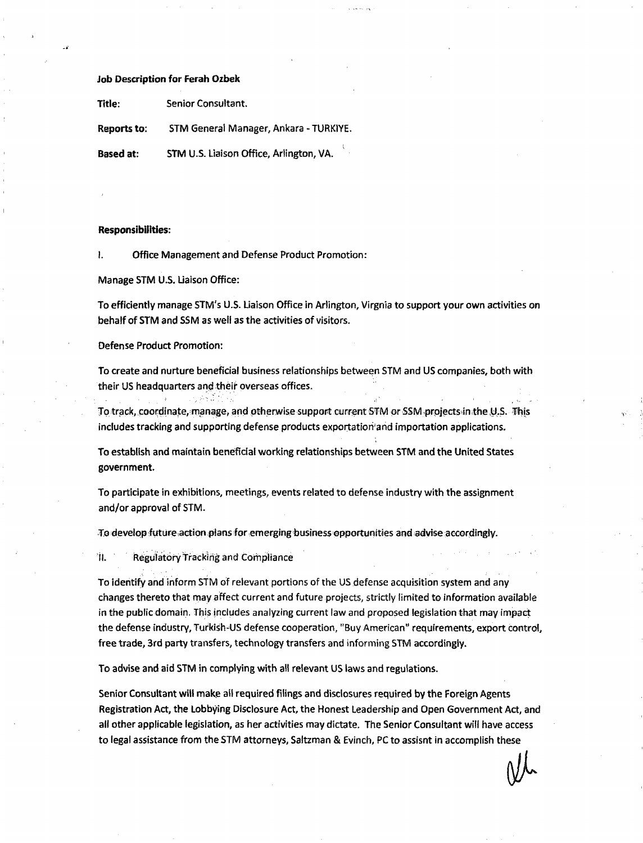## Job Description for Ferah Ozbek

Title: Senior Consultant.

Reports to: STM General Manager, Ankara - TURK1YE.

Based at: STM U.S. Liaison Office, Arlington, VA.

## Responsibilities:

I. Office Management and Defense Product Promotion:

Manage STM U.S. Liaison Office:

To efficiently manage STM's U.S. Liaison Office in Arlington, Virgnia to support your own activities on behalf of STM and SSM as well as the activities of visitors.

Defense Product Promotion:

To create and nurture beneficial business relationships between STM and US companies, both with their US headquarters and their overseas offices.

To track, coordinate, manage, and otherwise support current STM or SSM projects in the U.S. This includes tracking and supporting defense products exportatioriand importation applications.

To establish and maintain beneficial working relationships between STM and the United States government.

To participate in exhibitions, meetings, events related to defense industry with the assignment and/or approval of STM.

To develop futureaction plans for emerging business opportunities and advise accordingly.

II. Regulatory Tracking and Compliance

ung As Jun

To identify and inform STM of relevant portions of the US defense acquisition system and any changes thereto that may affect current and future projects, strictly limited to information available in the public domain. This includes analyzing current law and proposed legislation that may impact the defense industry, Turkish-US defense cooperation, "Buy American" requirements, export control, free trade, 3rd party transfers, technology transfers and informing STM accordingly.

To advise and aid STM in complying with all relevant US laws and regulations.

Senior Consultant will make ail required filings and disclosures required by the Foreign Agents Registration Act, the Lobbying Disclosure Act, the Honest Leadership and Open Government Act, and ail other applicable legislation, as her activities may dictate. The Senior Consultant will have access to legal assistance from the STM attorneys, Saltzman & Evinch, PC to assisnt in accomplish these

 $\mathcal{P}$